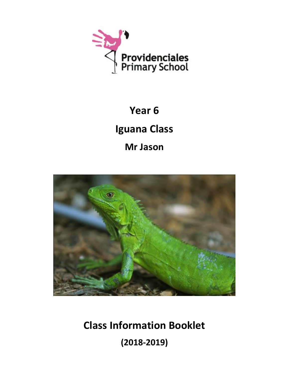

# **Year 6 Iguana Class Mr Jason**



**Class Information Booklet (2018-2019)**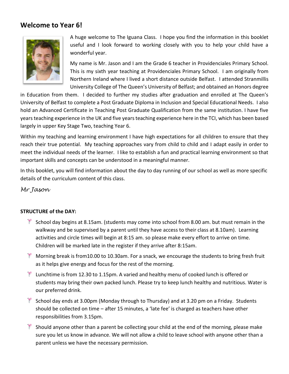# **Welcome to Year 6!**



A huge welcome to The Iguana Class. I hope you find the information in this booklet useful and I look forward to working closely with you to help your child have a wonderful year.

My name is Mr. Jason and I am the Grade 6 teacher in Providenciales Primary School. This is my sixth year teaching at Providenciales Primary School. I am originally from Northern Ireland where I lived a short distance outside Belfast. I attended Stranmillis University College of The Queen's University of Belfast; and obtained an Honors degree

in Education from them. I decided to further my studies after graduation and enrolled at The Queen's University of Belfast to complete a Post Graduate Diploma in Inclusion and Special Educational Needs. I also hold an Advanced Certificate in Teaching Post Graduate Qualification from the same institution. I have five years teaching experience in the UK and five years teaching experience here in the TCI, which has been based largely in upper Key Stage Two, teaching Year 6.

Within my teaching and learning environment I have high expectations for all children to ensure that they reach their true potential. My teaching approaches vary from child to child and I adapt easily in order to meet the individual needs of the learner. I like to establish a fun and practical learning environment so that important skills and concepts can be understood in a meaningful manner.

In this booklet, you will find information about the day to day running of our school as well as more specific details of the curriculum content of this class.

*Mr Jason*

# **STRUCTURE of the DAY:**

- $\mathbb{S}^2$  School day begins at 8.15am. (students may come into school from 8.00 am. but must remain in the walkway and be supervised by a parent until they have access to their class at 8.10am). Learning activities and circle times will begin at 8:15 am. so please make every effort to arrive on time. Children will be marked late in the register if they arrive after 8:15am.
- Morning break is from10.00 to 10.30am. For a snack, we encourage the students to bring fresh fruit as it helps give energy and focus for the rest of the morning.
- **E** Lunchtime is from 12.30 to 1.15pm. A varied and healthy menu of cooked lunch is offered or students may bring their own packed lunch. Please try to keep lunch healthy and nutritious. Water is our preferred drink.
- $\mathbb{R}$  School day ends at 3.00pm (Monday through to Thursday) and at 3.20 pm on a Friday. Students should be collected on time – after 15 minutes, a 'late fee' is charged as teachers have other responsibilities from 3.15pm.
- $*$  Should anyone other than a parent be collecting your child at the end of the morning, please make sure you let us know in advance. We will not allow a child to leave school with anyone other than a parent unless we have the necessary permission.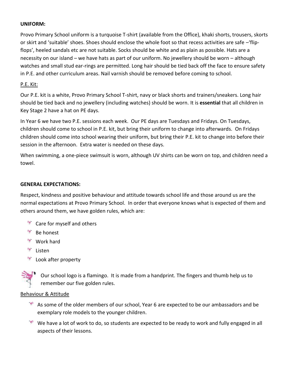# **UNIFORM:**

Provo Primary School uniform is a turquoise T-shirt (available from the Office), khaki shorts, trousers, skorts or skirt and 'suitable' shoes. Shoes should enclose the whole foot so that recess activities are safe –'flipflops', heeled sandals etc are not suitable. Socks should be white and as plain as possible. Hats are a necessity on our island – we have hats as part of our uniform. No jewellery should be worn – although watches and small stud ear-rings are permitted. Long hair should be tied back off the face to ensure safety in P.E. and other curriculum areas. Nail varnish should be removed before coming to school.

# P.E. Kit:

Our P.E. kit is a white, Provo Primary School T-shirt, navy or black shorts and trainers/sneakers. Long hair should be tied back and no jewellery (including watches) should be worn. It is **essential** that all children in Key Stage 2 have a hat on PE days.

In Year 6 we have two P.E. sessions each week. Our PE days are Tuesdays and Fridays. On Tuesdays, children should come to school in P.E. kit, but bring their uniform to change into afterwards. On Fridays children should come into school wearing their uniform, but bring their P.E. kit to change into before their session in the afternoon. Extra water is needed on these days.

When swimming, a one-piece swimsuit is worn, although UV shirts can be worn on top, and children need a towel.

## **GENERAL EXPECTATIONS:**

Respect, kindness and positive behaviour and attitude towards school life and those around us are the normal expectations at Provo Primary School. In order that everyone knows what is expected of them and others around them, we have golden rules, which are:

- $\mathbb{R}^n$  Care for myself and others
- $\mathbb{R}$  Be honest
- $\mathbb{R}$  Work hard
- Listen
- Look after property



Our school logo is a flamingo. It is made from a handprint. The fingers and thumb help us to remember our five golden rules.

# Behaviour & Attitude

- $*$  As some of the older members of our school, Year 6 are expected to be our ambassadors and be exemplary role models to the younger children.
- We have a lot of work to do, so students are expected to be ready to work and fully engaged in all aspects of their lessons.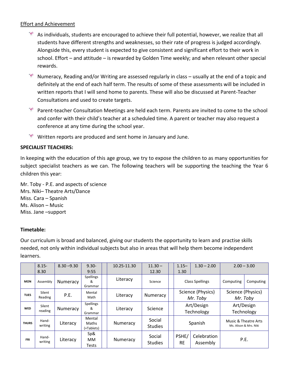# Effort and Achievement

- $*$  As individuals, students are encouraged to achieve their full potential, however, we realize that all students have different strengths and weaknesses, so their rate of progress is judged accordingly. Alongside this, every student is expected to give consistent and significant effort to their work in school. Effort – and attitude – is rewarded by Golden Time weekly; and when relevant other special rewards.
- Numeracy, Reading and/or Writing are assessed regularly in class usually at the end of a topic and definitely at the end of each half term. The results of some of these assessments will be included in written reports that I will send home to parents. These will also be discussed at Parent-Teacher Consultations and used to create targets.
- **EX** Parent-teacher Consultation Meetings are held each term. Parents are invited to come to the school and confer with their child's teacher at a scheduled time. A parent or teacher may also request a conference at any time during the school year.
- Written reports are produced and sent home in January and June.

# **SPECIALIST TEACHERS:**

In keeping with the education of this age group, we try to expose the children to as many opportunities for subject specialist teachers as we can. The following teachers will be supporting the teaching the Year 6 children this year:

Mr. Toby - P.E. and aspects of science Mrs. Niki– Theatre Arts/Dance Miss. Cara – Spanish Ms. Alison – Music Miss. Jane –support

# **Timetable:**

Our curriculum is broad and balanced, giving our students the opportunity to learn and practise skills needed, not only within individual subjects but also in areas that will help them become independent learners.

|              | $8.15 -$          | $8.30 - 9.30$ | $9.30 -$                         | 10.25-11.30 | $11.30 -$                | $1.15 -$                      | $1.30 - 2.00$           |                                                | $2.00 - 3.00$ |
|--------------|-------------------|---------------|----------------------------------|-------------|--------------------------|-------------------------------|-------------------------|------------------------------------------------|---------------|
|              | 8.30              |               | 9:55                             |             | 12.30                    | 1.30                          |                         |                                                |               |
| <b>MON</b>   | Assembly          | Numeracy      | <b>Spellings</b><br>&<br>Grammar | Literacy    | Science                  | <b>Class Spellings</b>        |                         | Computing                                      | Computing     |
| <b>TUES</b>  | Silent<br>Reading | P.E.          | Mental<br>Math                   | Literacy    | Numeracy                 | Science (Physics)<br>Mr. Toby |                         | Science (Physics)<br>Mr. Toby                  |               |
| <b>WED</b>   | Silent<br>reading | Numeracy      | Spellings<br>&<br>Grammar        | Literacy    | Science                  | Art/Design<br>Technology      |                         | Art/Design<br>Technology                       |               |
| <b>THURS</b> | Hand-<br>writing  | Literacy      | Mental<br>Maths<br>(+Tablets)    | Numeracy    | Social<br><b>Studies</b> | Spanish                       |                         | Music & Theatre Arts<br>Ms. Alison & Mrs. Niki |               |
| <b>FRI</b>   | Hand-<br>writing  | Literacy      | Sp8<br><b>MM</b><br><b>Tests</b> | Numeracy    | Social<br><b>Studies</b> | PSHE/<br><b>RE</b>            | Celebration<br>Assembly |                                                | P.E.          |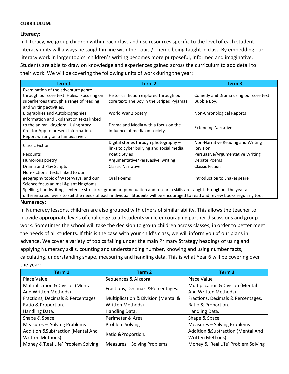# **CURRICULUM:**

# **Literacy:**

In Literacy, we group children within each class and use resources specific to the level of each student. Literacy units will always be taught in line with the Topic / Theme being taught in class. By embedding our literacy work in larger topics, children's writing becomes more purposeful, informed and imaginative. Students are able to draw on knowledge and experiences gained across the curriculum to add detail to their work. We will be covering the following units of work during the year:

| Term 1                                    | Term 2                                     | Term 3                                |  |  |
|-------------------------------------------|--------------------------------------------|---------------------------------------|--|--|
| Examination of the adventure genre        |                                            |                                       |  |  |
| through our core text: Holes. Focusing on | Historical fiction explored through our    | Comedy and Drama using our core text: |  |  |
| superheroes through a range of reading    | core text: The Boy in the Striped Pyjamas. | Bubble Boy.                           |  |  |
| and writing activities.                   |                                            |                                       |  |  |
| <b>Biographies and Autobiographies</b>    | World War 2 poetry                         | Non-Chronological Reports             |  |  |
| Information and Explanation texts linked  |                                            |                                       |  |  |
| to the animal kingdom. Using story        | Drama and Media with a focus on the        | <b>Extending Narrative</b>            |  |  |
| Creator App to present information.       | influence of media on society.             |                                       |  |  |
| Report writing on a famous river.         |                                            |                                       |  |  |
| <b>Classic Fiction</b>                    | Digital stories through photography -      | Non-Narrative Reading and Writing     |  |  |
|                                           | links to cyber bullying and social media.  | Revision                              |  |  |
| Recounts                                  | Poetic Styles                              | Persuasive/Argumentative Writing      |  |  |
| Humorous poetry                           | Argumentative/Persuasive writing           | Debate Poems                          |  |  |
| Drama and Play Scripts                    | <b>Classic Narrative</b>                   | <b>Classic Fiction</b>                |  |  |
| Non-Fictional texts linked to our         |                                            |                                       |  |  |
| geography topic of Waterways; and our     | Oral Poems                                 | Introduction to Shakespeare           |  |  |
| Science focus animal &plant kingdoms.     |                                            |                                       |  |  |

Spelling, handwriting, sentence structure, grammar, punctuation and research skills are taught throughout the year at differentiated levels to suit the needs of each individual. Students will be encouraged to read and review books regularly too.

#### **Numeracy:**

In Numeracy lessons, children are also grouped with others of similar ability. This allows the teacher to provide appropriate levels of challenge to all students while encouraging partner discussions and group work. Sometimes the school will take the decision to group children across classes, in order to better meet the needs of all students. If this is the case with your child's class, we will inform you of our plans in advance. We cover a variety of topics falling under the main Primary Strategy headings of using and applying Numeracy skills, counting and understanding number, knowing and using number facts, calculating, understanding shape, measuring and handling data. This is what Year 6 will be covering over the year:

| Term 1                                       | Term 2                              | Term <sub>3</sub>                            |  |  |
|----------------------------------------------|-------------------------------------|----------------------------------------------|--|--|
| Place Value                                  | Sequences & Algebra                 | Place Value                                  |  |  |
| <b>Multiplication &amp;Division (Mental</b>  | Fractions, Decimals & Percentages.  | <b>Multiplication &amp; Division (Mental</b> |  |  |
| And Written Methods)                         |                                     | And Written Methods)                         |  |  |
| Fractions, Decimals & Percentages            | Multiplication & Division (Mental & | Fractions, Decimals & Percentages.           |  |  |
| Ratio & Proportion.                          | Written Methods)                    | Ratio & Proportion.                          |  |  |
| Handling Data.                               | Handling Data.                      | Handling Data.                               |  |  |
| Shape & Space                                | Perimeter & Area                    | Shape & Space                                |  |  |
| Measures - Solving Problems                  | Problem Solving                     | Measures - Solving Problems                  |  |  |
| <b>Addition &amp;Subtraction (Mental And</b> |                                     | Addition & Subtraction (Mental And           |  |  |
| Written Methods)                             | Ratio & Proportion.                 | Written Methods)                             |  |  |
| Money & 'Real Life' Problem Solving          | Measures - Solving Problems         | Money & 'Real Life' Problem Solving          |  |  |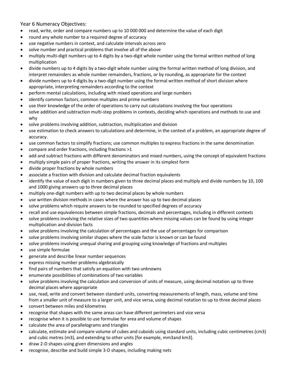Year 6 Numeracy Objectives:

- read, write, order and compare numbers up to 10 000 000 and determine the value of each digit
- round any whole number to a required degree of accuracy
- use negative numbers in context, and calculate intervals across zero
- solve number and practical problems that involve all of the above
- multiply multi-digit numbers up to 4 digits by a two-digit whole number using the formal written method of long multiplication
- divide numbers up to 4 digits by a two-digit whole number using the formal written method of long division, and interpret remainders as whole number remainders, fractions, or by rounding, as appropriate for the context
- divide numbers up to 4 digits by a two-digit number using the formal written method of short division where appropriate, interpreting remainders according to the context
- perform mental calculations, including with mixed operations and large numbers
- identify common factors, common multiples and prime numbers
- use their knowledge of the order of operations to carry out calculations involving the four operations
- solve addition and subtraction multi-step problems in contexts, deciding which operations and methods to use and why
- solve problems involving addition, subtraction, multiplication and division
- use estimation to check answers to calculations and determine, in the context of a problem, an appropriate degree of accuracy.
- use common factors to simplify fractions; use common multiples to express fractions in the same denomination
- compare and order fractions, including fractions >1
- add and subtract fractions with different denominators and mixed numbers, using the concept of equivalent fractions
- multiply simple pairs of proper fractions, writing the answer in its simplest form
- divide proper fractions by whole numbers
- associate a fraction with division and calculate decimal fraction equivalents
- identify the value of each digit in numbers given to three decimal places and multiply and divide numbers by 10, 100 and 1000 giving answers up to three decimal places
- multiply one-digit numbers with up to two decimal places by whole numbers
- use written division methods in cases where the answer has up to two decimal places
- solve problems which require answers to be rounded to specified degrees of accuracy
- recall and use equivalences between simple fractions, decimals and percentages, including in different contexts
- solve problems involving the relative sizes of two quantities where missing values can be found by using integer multiplication and division facts
- solve problems involving the calculation of percentages and the use of percentages for comparison
- solve problems involving similar shapes where the scale factor is known or can be found
- solve problems involving unequal sharing and grouping using knowledge of fractions and multiples
- use simple formulae
- generate and describe linear number sequences
- express missing number problems algebraically
- find pairs of numbers that satisfy an equation with two unknowns
- enumerate possibilities of combinations of two variables
- solve problems involving the calculation and conversion of units of measure, using decimal notation up to three decimal places where appropriate
- use, read, write and convert between standard units, converting measurements of length, mass, volume and time from a smaller unit of measure to a larger unit, and vice versa, using decimal notation to up to three decimal places
- convert between miles and kilometres
- recognise that shapes with the same areas can have different perimeters and vice versa
- recognise when it is possible to use formulae for area and volume of shapes
- calculate the area of parallelograms and triangles
- calculate, estimate and compare volume of cubes and cuboids using standard units, including cubic centimetres (cm3) and cubic metres (m3), and extending to other units [for example, mm3and km3].
- draw 2-D shapes using given dimensions and angles
- recognise, describe and build simple 3-D shapes, including making nets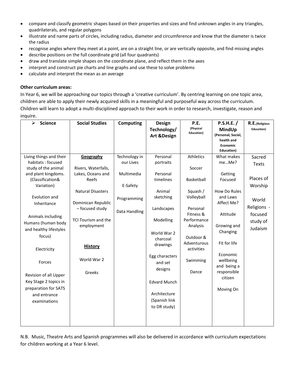- compare and classify geometric shapes based on their properties and sizes and find unknown angles in any triangles, quadrilaterals, and regular polygons
- illustrate and name parts of circles, including radius, diameter and circumference and know that the diameter is twice the radius
- recognise angles where they meet at a point, are on a straight line, or are vertically opposite, and find missing angles
- describe positions on the full coordinate grid (all four quadrants)
- draw and translate simple shapes on the coordinate plane, and reflect them in the axes
- interpret and construct pie charts and line graphs and use these to solve problems
- calculate and interpret the mean as an average

#### **Other curriculum areas:**

In Year 6, we will be approaching our topics through a 'creative curriculum'. By centring learning on one topic area, children are able to apply their newly acquired skills in a meaningful and purposeful way across the curriculum.

Children will learn to adopt a multi-disciplined approach to their work in order to research, investigate, reason and inquire.

| $\blacktriangleright$<br><b>Science</b>      | <b>Social Studies</b>    | <b>Computing</b> | <b>Design</b>          | P.E.              | P.S.H.E.           | R.E.(Religious |
|----------------------------------------------|--------------------------|------------------|------------------------|-------------------|--------------------|----------------|
|                                              |                          |                  | Technology/            | (Physical         | MindUp             | Education)     |
|                                              |                          |                  | <b>Art &amp;Design</b> | <b>Education)</b> | (Personal, Social, |                |
|                                              |                          |                  |                        |                   | health and         |                |
|                                              |                          |                  |                        |                   | <b>Economic</b>    |                |
|                                              |                          |                  |                        |                   | <b>Education</b> ) |                |
| Living things and their<br>habitats: focused | Geography                | Technology in    | Personal               | Athletics         | What makes         | Sacred         |
| study of the animal                          | Rivers, Waterfalls,      | our Lives        | portraits              | Soccer            | meMe?              | Texts          |
| and plant kingdoms.                          | Lakes, Oceans and        | Multimedia       | Personal               |                   | Getting            |                |
| (Classification&                             | Reefs                    |                  | timelines              | Basketball        | Focused            | Places of      |
| Variation)                                   |                          | E-Safety         |                        |                   |                    | Worship        |
|                                              | <b>Natural Disasters</b> |                  | Animal                 | Squash /          | How Do Rules       |                |
| Evolution and                                |                          |                  | sketching              | Volleyball        | and Laws           |                |
| Inheritance                                  | Dominican Republic       | Programming      |                        |                   | Affect Me?         | World          |
|                                              | - focused study          |                  | Landscapes             | Personal          |                    | Religions -    |
| Animals including                            |                          | Data Handling    |                        | Fitness &         | Attitude           | focused        |
|                                              | TCI Tourism and the      |                  | Modelling              | Performance       |                    | study of       |
| Humans (human body                           | employment               |                  |                        | Analysis          | Growing and        | Judaism        |
| and healthy lifestyles                       |                          |                  | World War 2            |                   | Changing           |                |
| focus)                                       |                          |                  | charcoal               | Outdoor &         |                    |                |
|                                              | <b>History</b>           |                  | drawings               | Adventurous       | Fit for life       |                |
| Electricity                                  |                          |                  |                        | activities        |                    |                |
|                                              |                          |                  | Egg characters         |                   | Economic           |                |
| Forces                                       | World War 2              |                  | and set                | Swimming          | wellbeing          |                |
|                                              |                          |                  | designs                |                   | and being a        |                |
| Revision of all Upper                        | Greeks                   |                  |                        | Dance             | responsible        |                |
| Key Stage 2 topics in                        |                          |                  | <b>Edvard Munch</b>    |                   | citizen            |                |
| preparation for SATS                         |                          |                  |                        |                   | Moving On          |                |
| and entrance                                 |                          |                  | Architecture           |                   |                    |                |
| examinations                                 |                          |                  | (Spanish link          |                   |                    |                |
|                                              |                          |                  | to DR study)           |                   |                    |                |
|                                              |                          |                  |                        |                   |                    |                |
|                                              |                          |                  |                        |                   |                    |                |
|                                              |                          |                  |                        |                   |                    |                |

N.B. Music, Theatre Arts and Spanish programmes will also be delivered in accordance with curriculum expectations for children working at a Year 6 level.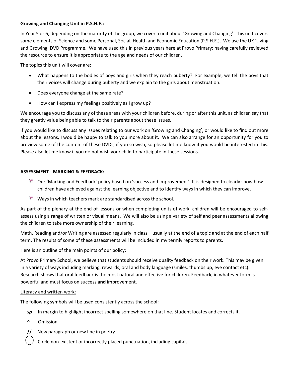#### **Growing and Changing Unit in P.S.H.E.:**

In Year 5 or 6, depending on the maturity of the group, we cover a unit about 'Growing and Changing'. This unit covers some elements of Science and some Personal, Social, Health and Economic Education (P.S.H.E.). We use the UK 'Living and Growing' DVD Programme. We have used this in previous years here at Provo Primary; having carefully reviewed the resource to ensure it is appropriate to the age and needs of our children.

The topics this unit will cover are:

- What happens to the bodies of boys and girls when they reach puberty? For example, we tell the boys that their voices will change during puberty and we explain to the girls about menstruation.
- Does everyone change at the same rate?
- How can I express my feelings positively as I grow up?

We encourage you to discuss any of these areas with your children before, during or after this unit, as children say that they greatly value being able to talk to their parents about these issues.

If you would like to discuss any issues relating to our work on 'Growing and Changing', or would like to find out more about the lessons, I would be happy to talk to you more about it. We can also arrange for an opportunity for you to preview some of the content of these DVDs, if you so wish, so please let me know if you would be interested in this. Please also let me know if you do not wish your child to participate in these sessions.

#### **ASSESSMENT - MARKING & FEEDBACK:**

- Our 'Marking and Feedback' policy based on 'success and improvement'. It is designed to clearly show how children have achieved against the learning objective and to identify ways in which they can improve.
- Ways in which teachers mark are standardised across the school.

As part of the plenary at the end of lessons or when completing units of work, children will be encouraged to selfassess using a range of written or visual means. We will also be using a variety of self and peer assessments allowing the children to take more ownership of their learning.

Math, Reading and/or Writing are assessed regularly in class – usually at the end of a topic and at the end of each half term. The results of some of these assessments will be included in my termly reports to parents.

Here is an outline of the main points of our policy:

At Provo Primary School, we believe that students should receive quality feedback on their work. This may be given in a variety of ways including marking, rewards, oral and body language (smiles, thumbs up, eye contact etc). Research shows that oral feedback is the most natural and effective for children. Feedback, in whatever form is powerful and must focus on success **and** improvement.

#### Literacy and written work:

The following symbols will be used consistently across the school:

- *sp* In margin to highlight incorrect spelling somewhere on that line. Student locates and corrects it.
- **^** Omission
- **//** New paragraph or new line in poetry

Circle non-existent or incorrectly placed punctuation, including capitals.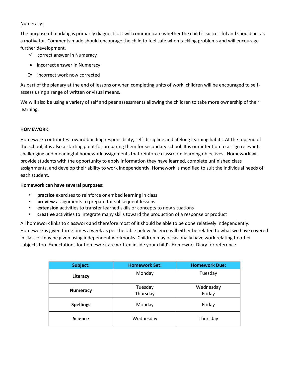#### Numeracy:

The purpose of marking is primarily diagnostic. It will communicate whether the child is successful and should act as a motivator. Comments made should encourage the child to feel safe when tackling problems and will encourage further development.

- $\checkmark$  correct answer in Numeracy
- incorrect answer in Numeracy
- C<sup>o</sup> incorrect work now corrected

As part of the plenary at the end of lessons or when completing units of work, children will be encouraged to selfassess using a range of written or visual means.

We will also be using a variety of self and peer assessments allowing the children to take more ownership of their learning.

#### **HOMEWORK:**

Homework contributes toward building responsibility, self-discipline and lifelong learning habits. At the top end of the school, it is also a starting point for preparing them for secondary school. It is our intention to assign relevant, challenging and meaningful homework assignments that reinforce classroom learning objectives. Homework will provide students with the opportunity to apply information they have learned, complete unfinished class assignments, and develop their ability to work independently. Homework is modified to suit the individual needs of each student.

#### **Homework can have several purposes:**

- **practice** exercises to reinforce or embed learning in class
- **preview** assignments to prepare for subsequent lessons
- **extension** activities to transfer learned skills or concepts to new situations
- **creative** activities to integrate many skills toward the production of a response or product

All homework links to classwork and therefore most of it should be able to be done relatively independently. Homework is given three times a week as per the table below. Science will either be related to what we have covered in class or may be given using independent workbooks. Children may occasionally have work relating to other subjects too. Expectations for homework are written inside your child's Homework Diary for reference.

| Subject:         | <b>Homework Set:</b> | <b>Homework Due:</b> |  |
|------------------|----------------------|----------------------|--|
| Literacy         | Monday               | Tuesday              |  |
| <b>Numeracy</b>  | Tuesday<br>Thursday  | Wednesday<br>Friday  |  |
| <b>Spellings</b> | Monday               | Friday               |  |
| <b>Science</b>   | Wednesday            | Thursday             |  |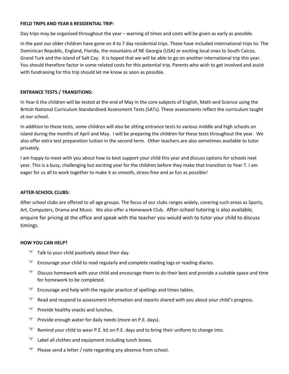#### **FIELD TRIPS AND YEAR 6 RESIDENTIAL TRIP:**

Day trips may be organised throughout the year – warning of times and costs will be given as early as possible.

In the past our older children have gone on 4 to 7 day residential trips. These have included international trips to: The Dominican Republic, England, Florida, the mountains of NE Georgia (USA) or exciting local ones to South Caicos, Grand Turk and the island of Salt Cay. It is hoped that we will be able to go on another international trip this year. You should therefore factor in some related costs for this potential trip. Parents who wish to get involved and assist with fundraising for this trip should let me know as soon as possible.

#### **ENTRANCE TESTS / TRANSITIONS:**

In Year 6 the children will be tested at the end of May in the core subjects of English, Math and Science using the British National Curriculum Standardised Assessment Tests (SATs). These assessments reflect the curriculum taught at our school.

In addition to these tests, some children will also be sitting entrance tests to various middle and high schools on island during the months of April and May. I will be preparing the children for these tests throughout the year. We also offer extra test preparation tuition in the second term. Other teachers are also sometimes available to tutor privately.

I am happy to meet with you about how to best support your child this year and discuss options for schools next year. This is a busy, challenging but exciting year for the children before they make that transition to Year 7. I am eager for us all to work together to make it as smooth, stress-free and as fun as possible!

#### **AFTER-SCHOOL CLUBS:**

After school clubs are offered to all age groups. The focus of our clubs ranges widely, covering such areas as Sports, Art, Computers, Drama and Music. We also offer a Homework Club. After-school tutoring is also available, enquire for pricing at the office and speak with the teacher you would wish to tutor your child to discuss timings.

#### **HOW YOU CAN HELP?**

- Talk to your child positively about their day.
- Encourage your child to read regularly and complete reading logs or reading diaries.
- $*$  Discuss homework with your child and encourage them to do their best and provide a suitable space and time for homework to be completed.
- $\mathscr{F}$  Encourage and help with the regular practice of spellings and times tables.
- $\frac{1}{2}$ Read and respond to assessment information and reports shared with you about your child's progress.
- 悸 Provide healthy snacks and lunches.
- Provide enough water for daily needs (more on P.E. days).
- Remind your child to wear P.E. kit on P.E. days and to bring their uniform to change into.
- Y Label all clothes and equipment including lunch boxes.
- 手 Please send a letter / note regarding any absence from school.